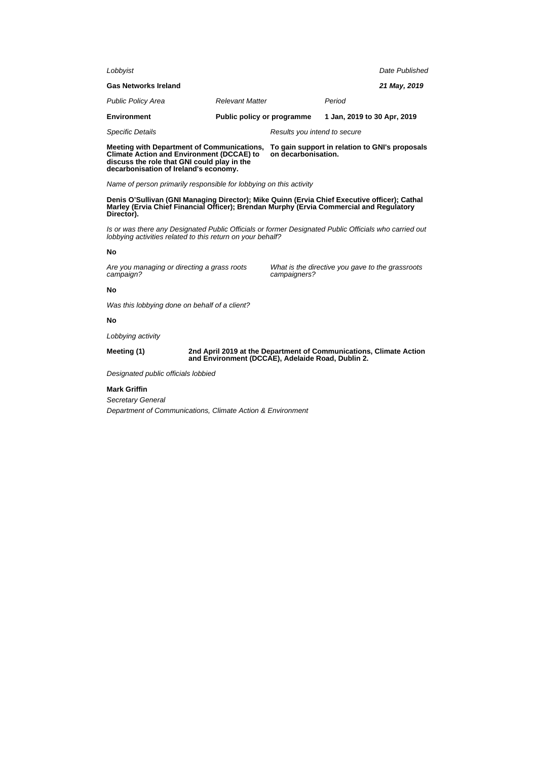| Lobbyist                    |                                                           | Date Published |  |
|-----------------------------|-----------------------------------------------------------|----------------|--|
| <b>Gas Networks Ireland</b> |                                                           | 21 May, 2019   |  |
| <b>Public Policy Area</b>   | <b>Relevant Matter</b>                                    | Period         |  |
| <b>Environment</b>          | Public policy or programme<br>1 Jan, 2019 to 30 Apr, 2019 |                |  |
| <b>Specific Details</b>     | Results you intend to secure                              |                |  |

**Meeting with Department of Communications, Climate Action and Environment (DCCAE) to discuss the role that GNI could play in the decarbonisation of Ireland's economy.**

**To gain support in relation to GNI's proposals on decarbonisation.**

Name of person primarily responsible for lobbying on this activity

**Denis O'Sullivan (GNI Managing Director); Mike Quinn (Ervia Chief Executive officer); Cathal Marley (Ervia Chief Financial Officer); Brendan Murphy (Ervia Commercial and Regulatory Director).**

Is or was there any Designated Public Officials or former Designated Public Officials who carried out lobbying activities related to this return on your behalf?

## **No**

Are you managing or directing a grass roots campaign?

What is the directive you gave to the grassroots campaigners?

# **No**

Was this lobbying done on behalf of a client?

# **No**

Lobbying activity

#### **Meeting (1) 2nd April 2019 at the Department of Communications, Climate Action and Environment (DCCAE), Adelaide Road, Dublin 2.**

Designated public officials lobbied

## **Mark Griffin**

Secretary General Department of Communications, Climate Action & Environment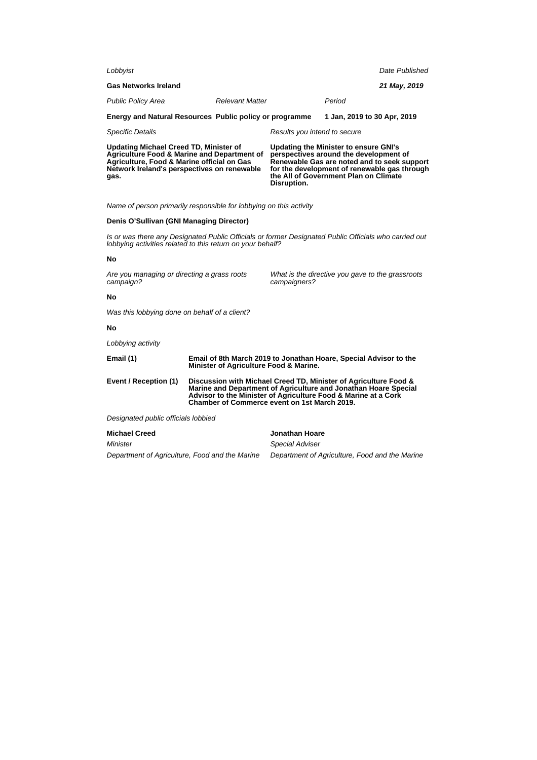| Lobbyist                                                                                                                                                                                                     |                                                                                                                                                                                                                                                       |                                                                                                                                                                                                                                        |                              |                             | Date Published |
|--------------------------------------------------------------------------------------------------------------------------------------------------------------------------------------------------------------|-------------------------------------------------------------------------------------------------------------------------------------------------------------------------------------------------------------------------------------------------------|----------------------------------------------------------------------------------------------------------------------------------------------------------------------------------------------------------------------------------------|------------------------------|-----------------------------|----------------|
| <b>Gas Networks Ireland</b>                                                                                                                                                                                  |                                                                                                                                                                                                                                                       |                                                                                                                                                                                                                                        |                              |                             | 21 May, 2019   |
| <b>Public Policy Area</b>                                                                                                                                                                                    |                                                                                                                                                                                                                                                       | <b>Relevant Matter</b>                                                                                                                                                                                                                 |                              | Period                      |                |
| Energy and Natural Resources Public policy or programme                                                                                                                                                      |                                                                                                                                                                                                                                                       |                                                                                                                                                                                                                                        |                              | 1 Jan, 2019 to 30 Apr, 2019 |                |
| <b>Specific Details</b>                                                                                                                                                                                      |                                                                                                                                                                                                                                                       |                                                                                                                                                                                                                                        | Results you intend to secure |                             |                |
| <b>Updating Michael Creed TD, Minister of</b><br><b>Agriculture Food &amp; Marine and Department of</b><br>Agriculture, Food & Marine official on Gas<br>Network Ireland's perspectives on renewable<br>gas. |                                                                                                                                                                                                                                                       | Updating the Minister to ensure GNI's<br>perspectives around the development of<br>Renewable Gas are noted and to seek support<br>for the development of renewable gas through<br>the All of Government Plan on Climate<br>Disruption. |                              |                             |                |
| Name of person primarily responsible for lobbying on this activity                                                                                                                                           |                                                                                                                                                                                                                                                       |                                                                                                                                                                                                                                        |                              |                             |                |
| Denis O'Sullivan (GNI Managing Director)                                                                                                                                                                     |                                                                                                                                                                                                                                                       |                                                                                                                                                                                                                                        |                              |                             |                |
| Is or was there any Designated Public Officials or former Designated Public Officials who carried out<br>lobbying activities related to this return on your behalf?                                          |                                                                                                                                                                                                                                                       |                                                                                                                                                                                                                                        |                              |                             |                |
| No                                                                                                                                                                                                           |                                                                                                                                                                                                                                                       |                                                                                                                                                                                                                                        |                              |                             |                |
| Are you managing or directing a grass roots<br>campaign?                                                                                                                                                     |                                                                                                                                                                                                                                                       | What is the directive you gave to the grassroots<br>campaigners?                                                                                                                                                                       |                              |                             |                |
| No                                                                                                                                                                                                           |                                                                                                                                                                                                                                                       |                                                                                                                                                                                                                                        |                              |                             |                |
| Was this lobbying done on behalf of a client?                                                                                                                                                                |                                                                                                                                                                                                                                                       |                                                                                                                                                                                                                                        |                              |                             |                |
| No                                                                                                                                                                                                           |                                                                                                                                                                                                                                                       |                                                                                                                                                                                                                                        |                              |                             |                |
| Lobbying activity                                                                                                                                                                                            |                                                                                                                                                                                                                                                       |                                                                                                                                                                                                                                        |                              |                             |                |
| Email (1)                                                                                                                                                                                                    | Email of 8th March 2019 to Jonathan Hoare, Special Advisor to the<br>Minister of Agriculture Food & Marine.                                                                                                                                           |                                                                                                                                                                                                                                        |                              |                             |                |
| Event / Reception (1)                                                                                                                                                                                        | Discussion with Michael Creed TD, Minister of Agriculture Food &<br>Marine and Department of Agriculture and Jonathan Hoare Special<br>Advisor to the Minister of Agriculture Food & Marine at a Cork<br>Chamber of Commerce event on 1st March 2019. |                                                                                                                                                                                                                                        |                              |                             |                |
| Designated public officials lobbied                                                                                                                                                                          |                                                                                                                                                                                                                                                       |                                                                                                                                                                                                                                        |                              |                             |                |
| <b>Michael Creed</b>                                                                                                                                                                                         |                                                                                                                                                                                                                                                       |                                                                                                                                                                                                                                        | Jonathan Hoare               |                             |                |
| Minister                                                                                                                                                                                                     |                                                                                                                                                                                                                                                       |                                                                                                                                                                                                                                        | Special Adviser              |                             |                |

Department of Agriculture, Food and the Marine Department of Agriculture, Food and the Marine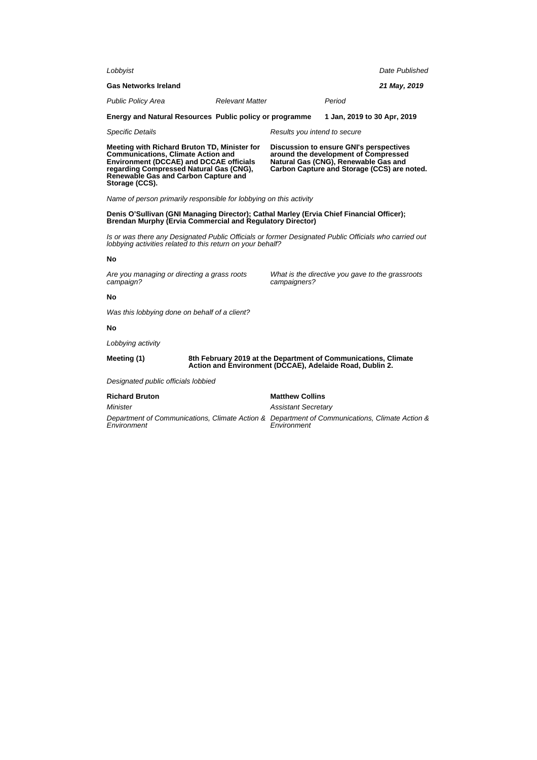| Lobbyist                                                                                                                                                                                                                                         |                                                                                                                            |                            |                                                                                                                                                                               | Date Published              |  |
|--------------------------------------------------------------------------------------------------------------------------------------------------------------------------------------------------------------------------------------------------|----------------------------------------------------------------------------------------------------------------------------|----------------------------|-------------------------------------------------------------------------------------------------------------------------------------------------------------------------------|-----------------------------|--|
| <b>Gas Networks Ireland</b>                                                                                                                                                                                                                      |                                                                                                                            |                            |                                                                                                                                                                               | 21 May, 2019                |  |
| <b>Public Policy Area</b>                                                                                                                                                                                                                        | <b>Relevant Matter</b>                                                                                                     |                            | Period                                                                                                                                                                        |                             |  |
|                                                                                                                                                                                                                                                  |                                                                                                                            |                            |                                                                                                                                                                               |                             |  |
| Energy and Natural Resources Public policy or programme                                                                                                                                                                                          |                                                                                                                            |                            |                                                                                                                                                                               | 1 Jan, 2019 to 30 Apr, 2019 |  |
| Specific Details                                                                                                                                                                                                                                 |                                                                                                                            |                            | Results you intend to secure                                                                                                                                                  |                             |  |
| Meeting with Richard Bruton TD, Minister for<br><b>Communications, Climate Action and</b><br><b>Environment (DCCAE) and DCCAE officials</b><br>regarding Compressed Natural Gas (CNG),<br>Renewable Gas and Carbon Capture and<br>Storage (CCS). |                                                                                                                            |                            | <b>Discussion to ensure GNI's perspectives</b><br>around the development of Compressed<br>Natural Gas (CNG), Renewable Gas and<br>Carbon Capture and Storage (CCS) are noted. |                             |  |
| Name of person primarily responsible for lobbying on this activity                                                                                                                                                                               |                                                                                                                            |                            |                                                                                                                                                                               |                             |  |
| Denis O'Sullivan (GNI Managing Director); Cathal Marley (Ervia Chief Financial Officer);<br><b>Brendan Murphy (Ervia Commercial and Regulatory Director)</b>                                                                                     |                                                                                                                            |                            |                                                                                                                                                                               |                             |  |
| Is or was there any Designated Public Officials or former Designated Public Officials who carried out<br>lobbying activities related to this return on your behalf?                                                                              |                                                                                                                            |                            |                                                                                                                                                                               |                             |  |
| No                                                                                                                                                                                                                                               |                                                                                                                            |                            |                                                                                                                                                                               |                             |  |
| Are you managing or directing a grass roots<br>campaign?                                                                                                                                                                                         |                                                                                                                            |                            | What is the directive you gave to the grassroots<br>campaigners?                                                                                                              |                             |  |
| Nο                                                                                                                                                                                                                                               |                                                                                                                            |                            |                                                                                                                                                                               |                             |  |
| Was this lobbying done on behalf of a client?                                                                                                                                                                                                    |                                                                                                                            |                            |                                                                                                                                                                               |                             |  |
| No                                                                                                                                                                                                                                               |                                                                                                                            |                            |                                                                                                                                                                               |                             |  |
| Lobbying activity                                                                                                                                                                                                                                |                                                                                                                            |                            |                                                                                                                                                                               |                             |  |
| Meeting (1)                                                                                                                                                                                                                                      | 8th February 2019 at the Department of Communications, Climate<br>Action and Environment (DCCAE), Adelaide Road, Dublin 2. |                            |                                                                                                                                                                               |                             |  |
| Designated public officials lobbied                                                                                                                                                                                                              |                                                                                                                            |                            |                                                                                                                                                                               |                             |  |
| <b>Richard Bruton</b>                                                                                                                                                                                                                            |                                                                                                                            | <b>Matthew Collins</b>     |                                                                                                                                                                               |                             |  |
| Minister                                                                                                                                                                                                                                         |                                                                                                                            | <b>Assistant Secretary</b> |                                                                                                                                                                               |                             |  |
| Department of Communications, Climate Action & Department of Communications, Climate Action &<br>Environment                                                                                                                                     |                                                                                                                            |                            | Environment                                                                                                                                                                   |                             |  |